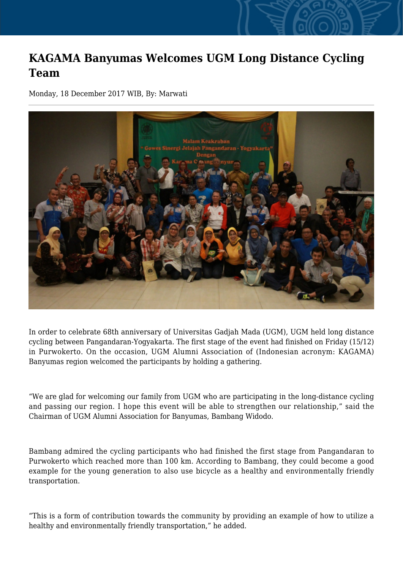## **KAGAMA Banyumas Welcomes UGM Long Distance Cycling Team**

Monday, 18 December 2017 WIB, By: Marwati



In order to celebrate 68th anniversary of Universitas Gadjah Mada (UGM), UGM held long distance cycling between Pangandaran-Yogyakarta. The first stage of the event had finished on Friday (15/12) in Purwokerto. On the occasion, UGM Alumni Association of (Indonesian acronym: KAGAMA) Banyumas region welcomed the participants by holding a gathering.

"We are glad for welcoming our family from UGM who are participating in the long-distance cycling and passing our region. I hope this event will be able to strengthen our relationship," said the Chairman of UGM Alumni Association for Banyumas, Bambang Widodo.

Bambang admired the cycling participants who had finished the first stage from Pangandaran to Purwokerto which reached more than 100 km. According to Bambang, they could become a good example for the young generation to also use bicycle as a healthy and environmentally friendly transportation.

"This is a form of contribution towards the community by providing an example of how to utilize a healthy and environmentally friendly transportation," he added.